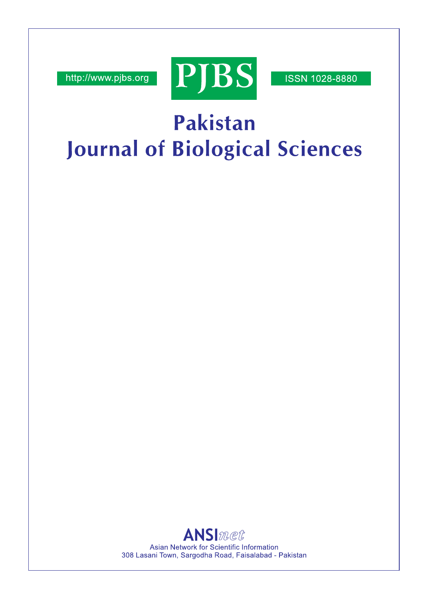http://www.pjbs.org



**ISSN 1028-8880** 

# Pakistan **Journal of Biological Sciences**

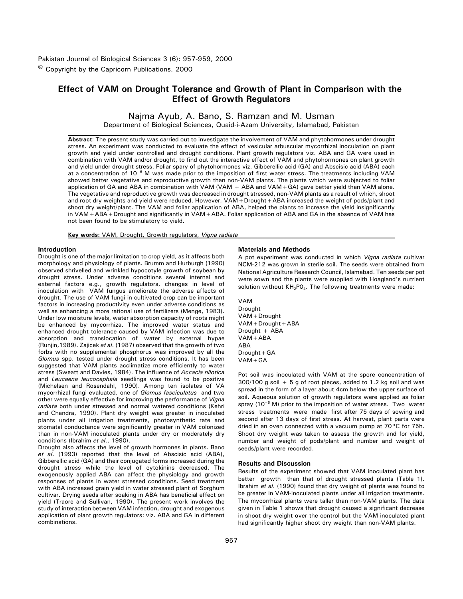# **Effect of VAM on Drought Tolerance and Growth of Plant in Comparison with the Effect of Growth Regulators**

Najma Ayub, A. Bano, S. Ramzan and M. Usman

Department of Biological Sciences, Quaid-i-Azam University, Islamabad, Pakistan

**Abstract**: The present study was carried out to investigate the involvement of VAM and phytohormones under drought stress. An experiment was conducted to evaluate the effect of vesicular arbuscular mycorrhizal inoculation on plant growth and yield under controlled and drought conditions. Plant growth regulators viz. ABA and GA were used in combination with VAM and/or drought, to find out the interactive effect of VAM and phytohormones on plant growth and yield under drought stress. Foliar spary of phytohormones viz. Gibberellic acid (GA) and Abscisic acid (ABA) each at a concentration of 10<sup>-6</sup> M was made prior to the imposition of first water stress. The treatments including VAM showed better vegetative and reproductive growth than non-VAM plants. The plants which were subjected to foliar application of GA and ABA in combination with VAM (VAM + ABA and VAM+GA) gave better yield than VAM alone. The vegetative and reproductive growth was decreased in drought stressed, non-VAM plants as a result of which, shoot and root dry weights and yield were reduced. However, VAM+Drought+ABA increased the weight of pods/plant and shoot dry weight/plant. The VAM and foliar application of ABA, helped the plants to increase the yield insignificantly in VAM+ABA+Drought and significantly in VAM+ABA. Foliar application of ABA and GA in the absence of VAM has not been found to be stimulatory to yield.

**Key words:** VAM, Drought, Growth regulators, *Vigna radiata*

## **Introduction**

Drought is one of the major limitation to crop yield, as it affects both morphology and physiology of plants. Brumm and Hurburgh (1990) observed shrivelled and wrinkled hypocotyle growth of soybean by drought stress. Under adverse conditions several internal and external factors e.g., growth regulators, changes in level of inoculation with VAM fungus ameliorate the adverse affects of drought. The use of VAM fungi in cultivated crop can be important factors in increasing productivity even under adverse conditions as well as enhancing a more rational use of fertilizers (Menge, 1983). Under low moisture levels, water absorption capacity of roots might be enhanced by mycorrhiza. The improved water status and enhanced drought tolerance caused by VAM infection was due to absorption and translocation of water by external hypae (Runjin,1989). Zajicek *et al*. (1987) observed that the growth of two forbs with no supplemental phosphorus was improved by all the *Glomus* spp. tested under drought stress conditions. It has been suggested that VAM plants acclimatize more efficiently to water stress (Sweatt and Davies, 1984). The influence of *Accacia nilotica* and *Leucaena leucocephala* seedlings was found to be positive (Michelsen and Rosendahl, 1990). Among ten isolates of VA mycorrhizal fungi evaluated, one of *Glomus fasciculatus* and two other were equally effective for improving the performance of *Vigna radiata* both under stressed and normal watered conditions (Kehri and Chandra, 1990). Plant dry weight was greater in inoculated plants under all irrigation treatments, photosynthetic rate and stomatal conductance were significantly greater in VAM colonized than in non-VAM inoculated plants under dry or moderately dry conditions (Ibrahim *et al*., 1990).

Drought also affects the level of growth hormones in plants. Bano *et al*. (1993) reported that the level of Abscisic acid (ABA), Gibberellic acid (GA) and their conjugated forms increased during the drought stress while the level of cytokinins decreased. The exogenously applied ABA can affect the physiology and growth responses of plants in water stressed conditions. Seed treatment with ABA increased grain yield in water stressed plant of Sorghum cultivar. Drying seeds after soaking in ABA has beneficial effect on yield (Traore and Sullivan, 1990). The present work involves the study of interaction between VAM infection, drought and exogenous application of plant growth regulators: viz. ABA and GA in different combinations.

# **Materials and Methods**

A pot experiment was conducted in which *Vigna radiata* cultivar NCM-212 was grown in sterile soil. The seeds were obtained from National Agriculture Research Council, Islamabad. Ten seeds per pot were sown and the plants were supplied with Hoagland's nutrient solution without  $KH_{2}PO_{4}$ . The following treatments were made:

VAM Drought VAM+Drought VAM+Drought+ABA Drought + ABA VAM+ABA ABA Drought+GA VAM+GA

Pot soil was inoculated with VAM at the spore concentration of 300/100 g soil + 5 g of root pieces, added to 1.2 kg soil and was spread in the form of a layer about 4cm below the upper surface of soil. Aqueous solution of growth regulators were applied as foliar spray (10 $^{-6}$  M) prior to the imposition of water stress. Two water stress treatments were made first after 75 days of sowing and second after 13 days of first stress. At harvest, plant parts were dried in an oven connected with a vacuum pump at 70°C for 75h. Shoot dry weight was taken to assess the growth and for yield, number and weight of pods/plant and number and weight of seeds/plant were recorded.

### **Results and Discussion**

Results of the experiment showed that VAM inoculated plant has better growth than that of drought stressed plants (Table 1). Ibrahim *et al*. (1990) found that dry weight of plants was found to be greater in VAM-inoculated plants under all irrigation treatments. The mycorrhizal plants were taller than non-VAM plants. The data given in Table 1 shows that drought caused a significant decrease in shoot dry weight over the control but the VAM inoculated plant had significantly higher shoot dry weight than non-VAM plants.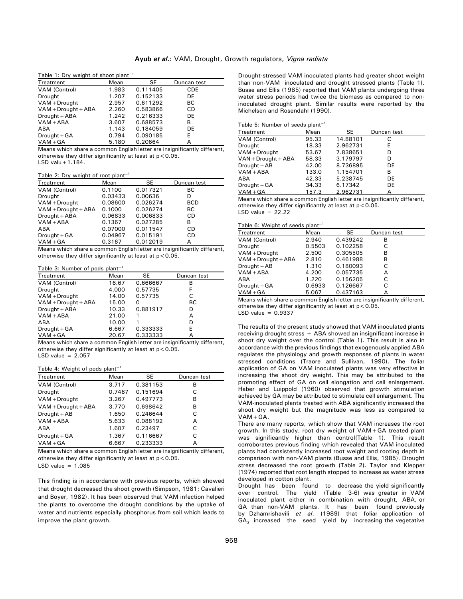|  | Table 1: Dry weight of shoot plant <sup>-1</sup> |  |  |
|--|--------------------------------------------------|--|--|
|--|--------------------------------------------------|--|--|

| Table 1. Dry weight of shoot plant |       |          |             |  |
|------------------------------------|-------|----------|-------------|--|
| Treatment                          | Mean  | SE       | Duncan test |  |
| VAM (Control)                      | 1.983 | 0.111405 | <b>CDE</b>  |  |
| Drought                            | 1.207 | 0.152133 | DE          |  |
| VAM + Drought                      | 2.957 | 0.611292 | BС          |  |
| $VAM + Drought + ABA$              | 2.260 | 0.583866 | CD          |  |
| Drought + ABA                      | 1.242 | 0.216333 | DE          |  |
| $VAM + ABA$                        | 3.607 | 0.688573 | в           |  |
| ABA                                | 1.143 | 0.184059 | DE.         |  |
| Drought + GA                       | 0.794 | 0.090185 | E           |  |
| $VAM+GA$                           | 5.180 | 0.20664  | А           |  |

Means which share a common English letter are insignificantly different, otherwise they differ significantly at least at  $p < 0.05$ . LSD valu+1.184.

Table 2: Dry weight of root plant<sup>-1</sup>

| Treatment             | Mean    | SE       | Duncan test |
|-----------------------|---------|----------|-------------|
| VAM (Control)         | 0.1100  | 0.017321 | ВC          |
| Drought               | 0.03433 | 0.00636  | D           |
| VAM + Drought         | 0.08600 | 0.026274 | <b>BCD</b>  |
| $VAM + Drought + ABA$ | 0.1000  | 0.026274 | ВC          |
| Drought + ABA         | 0.06833 | 0.006833 | CD          |
| $VAM + ABA$           | 0.1367  | 0.027285 | в           |
| ABA                   | 0.07000 | 0.011547 | CD          |
| Drought + GA          | 0.04967 | 0.015191 | CD          |
| $VAM+GA$              | 0.3167  | 0.012019 | А           |

Means which share a common English letter are insignificantly different, otherwise they differ significantly at least at  $p < 0.05$ .

#### Table 3: Number of pods plant<sup>-1</sup>

| Treatment             | Mean  | SE       | Duncan test |
|-----------------------|-------|----------|-------------|
| VAM (Control)         | 16.67 | 0.666667 | В           |
| Drought               | 4.000 | 0.57735  | F           |
| VAM + Drought         | 14.00 | 0.57735  | С           |
| $VAM + Drought + ABA$ | 15.00 | 0        | ВC          |
| Drought + ABA         | 10.33 | 0.881917 | D           |
| $VAM + ABA$           | 21.00 |          | А           |
| ABA                   | 10.00 |          | D           |
| $Drought + GA$        | 6.667 | 0.333333 | E           |
| $VAM+GA$              | 20.67 | 0.333333 | А           |

Means which share a common English letter are insignificantly different, otherwise they differ significantly at least at  $p < 0.05$ . LSD value  $= 2.057$ 

#### Table  $4 \cdot$  Weight of pods plant<sup>-1</sup>

| Treatment             | Mean   | SE       | Duncan test |
|-----------------------|--------|----------|-------------|
| VAM (Control)         | 3.717  | 0.381153 | в           |
| Drought               | 0.7467 | 0.151694 | C           |
| VAM + Drought         | 3.267  | 0.497773 | в           |
| $VAM + Drought + ABA$ | 3.770  | 0.698642 | в           |
| Drought + AB          | 1.650  | 0.246644 | C           |
| $VAM + ABA$           | 5.633  | 0.088192 | А           |
| ABA                   | 1.607  | 0.23497  | C           |
| Drought + GA          | 1.367  | 0.116667 | C           |
| $VAM+GA$              | 6.667  | 0.233333 | А           |

Means which share a common English letter are insignificantly different, otherwise they differ significantly at least at  $p < 0.05$ .

LSD value  $= 1.085$ 

This finding is in accordance with previous reports, which showed that drought decreased the shoot growth (Simpson, 1981; Cavalieri and Boyer, 1982). It has been observed that VAM infection helped the plants to overcome the drought conditions by the uptake of water and nutrients especially phosphorus from soil which leads to improve the plant growth.

Drought-stressed VAM inoculated plants had greater shoot weight than non-VAM inoculated and drought stressed plants (Table 1). Busse and Ellis (1985) reported that VAM plants undergoing three water stress periods had twice the biomass as compared to noninoculated drought plant. Similar results were reported by the Michelsen and Rosendahl (1990).

|  |  | Table 5: Number of seeds plant <sup>-1</sup> |  |
|--|--|----------------------------------------------|--|
|--|--|----------------------------------------------|--|

| Treatment             | Mean  | SE       | Duncan test |  |
|-----------------------|-------|----------|-------------|--|
| VAM (Control)         | 95.33 | 14.88101 | С           |  |
| Drought               | 18.33 | 2.962731 | E           |  |
| VAM + Drought         | 53.67 | 7.838651 | D           |  |
| $VAN + Drought + ABA$ | 58.33 | 3.179797 | D           |  |
| $Drought + AB$        | 42.00 | 8.736895 | DE          |  |
| $VAM + ABA$           | 133.0 | 1.154701 | В           |  |
| ABA                   | 42.33 | 5.238745 | DE          |  |
| Drought + GA          | 34.33 | 6.17342  | DE          |  |
| $VAM+GA$              | 157.3 | 2.962731 | А           |  |

Means which share a common English letter are insignificantly different, otherwise they differ significantly at least at  $p < 0.05$ . LSD value  $= 22.22$ 

#### Table 6: Weight of seeds plant<sup>-1</sup>

| Treatment             | Mean   | SE       | Duncan test |  |
|-----------------------|--------|----------|-------------|--|
| VAM (Control)         | 2.940  | 0.439242 | в           |  |
| Drought               | 0.5503 | 0.102258 | С           |  |
| VAM + Drought         | 2.500  | 0.305505 | В           |  |
| $VAM + Drought + ABA$ | 2.810  | 0.461988 | в           |  |
| $Drought + AB$        | 1.310  | 0.180093 | C           |  |
| $VAM + ABA$           | 4.200  | 0.057735 | А           |  |
| ABA                   | 1.220  | 0.156205 | С           |  |
| Drought + GA          | 0.6933 | 0.126667 | C           |  |
| $VAM+GA$              | 5.067  | 0.437163 | А           |  |

Means which share a common English letter are insignificantly different, otherwise they differ significantly at least at  $p < 0.05$ . LSD value  $= 0.9337$ 

The results of the present study showed that VAM inoculated plants receiving drought stress + ABA showed an insignificant increase in shoot dry weight over the control (Table 1). This result is also in accordance with the previous findings that exogenously applied ABA regulates the physiology and growth responses of plants in water stressed conditions (Traore and Sullivan, 1990). The foliar application of GA on VAM inoculated plants was very effective in increasing the shoot dry weight. This may be attributed to the promoting effect of GA on cell elongation and cell enlargement. Haber and Luippold (1960) observed that growth stimulation achieved by GA may be attributed to stimulate cell enlargement. The VAM-inoculated plants treated with ABA significantly increased the shoot dry weight but the magnitude was less as compared to VAM+GA.

There are many reports, which show that VAM increases the root growth. In this study, root dry weight of VAM+GA treated plant was significantly higher than control(Table 1). This result corroborates previous finding which revealed that VAM inoculated plants had consistently increased root weight and rooting depth in comparison with non-VAM plants (Busse and Ellis, 1985). Drought stress decreased the root growth (Table 2). Taylor and Klepper (1974) reported that root length stopped to increase as water stress developed in cotton plant.

Drought has been found to decrease the yield significantly over control. The yield (Table 3-6) was greater in VAM inoculated plant either in combination with drought, ABA, or GA than non-VAM plants. It has been found previously by Dzhamrishavili *et al*. (1989) that foliar application of  $GA<sub>3</sub>$  increased the seed yield by increasing the vegetative